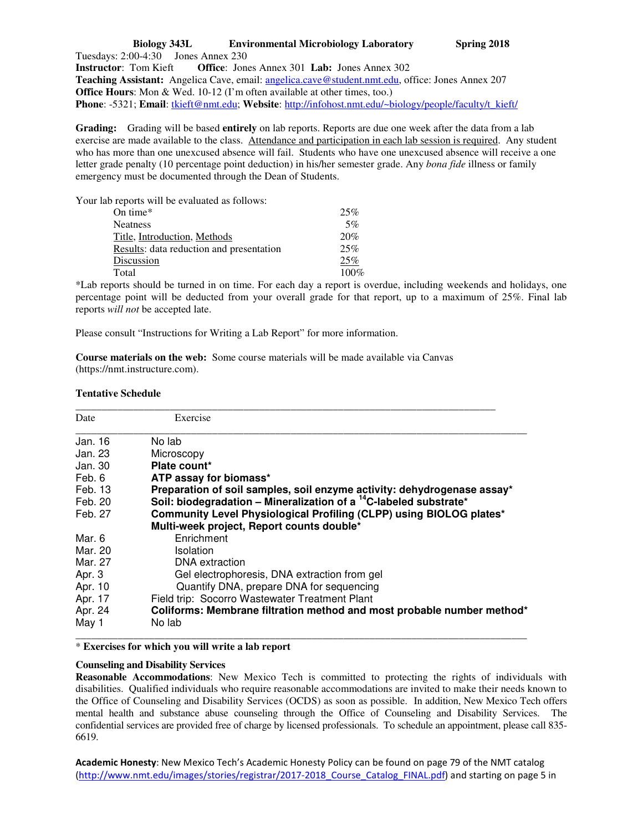## **Biology 343L Environmental Microbiology Laboratory Spring 2018**  Tuesdays: 2:00-4:30 Jones Annex 230 **Instructor**: Tom Kieft **Office**: Jones Annex 301 **Lab:** Jones Annex 302 **Teaching Assistant:** Angelica Cave, email: angelica.cave@student.nmt.edu, office: Jones Annex 207 **Office Hours**: Mon & Wed. 10-12 (I'm often available at other times, too.) **Phone**: -5321; **Email**: tkieft@nmt.edu; **Website**: http://infohost.nmt.edu/~biology/people/faculty/t\_kieft/

**Grading:** Grading will be based **entirely** on lab reports. Reports are due one week after the data from a lab exercise are made available to the class. Attendance and participation in each lab session is required. Any student who has more than one unexcused absence will fail. Students who have one unexcused absence will receive a one letter grade penalty (10 percentage point deduction) in his/her semester grade. Any *bona fide* illness or family emergency must be documented through the Dean of Students.

Your lab reports will be evaluated as follows:

| On time*                                 | 25%     |
|------------------------------------------|---------|
| Neatness                                 | 5%      |
| Title, Introduction, Methods             | 20%     |
| Results: data reduction and presentation | 25%     |
| Discussion                               | 25%     |
| Total                                    | $100\%$ |
|                                          |         |

\*Lab reports should be turned in on time. For each day a report is overdue, including weekends and holidays, one percentage point will be deducted from your overall grade for that report, up to a maximum of 25%. Final lab reports *will not* be accepted late.

Please consult "Instructions for Writing a Lab Report" for more information.

**Course materials on the web:** Some course materials will be made available via Canvas (https://nmt.instructure.com).

## **Tentative Schedule**

| Date    | Exercise                                                                      |
|---------|-------------------------------------------------------------------------------|
| Jan. 16 | No lab                                                                        |
| Jan. 23 | Microscopy                                                                    |
| Jan. 30 | Plate count*                                                                  |
| Feb. 6  | ATP assay for biomass*                                                        |
| Feb. 13 | Preparation of soil samples, soil enzyme activity: dehydrogenase assay*       |
| Feb. 20 | Soil: biodegradation - Mineralization of a <sup>14</sup> C-labeled substrate* |
| Feb. 27 | Community Level Physiological Profiling (CLPP) using BIOLOG plates*           |
|         | Multi-week project, Report counts double*                                     |
| Mar. 6  | Enrichment                                                                    |
| Mar. 20 | Isolation                                                                     |
| Mar. 27 | DNA extraction                                                                |
| Apr. 3  | Gel electrophoresis, DNA extraction from gel                                  |
| Apr. 10 | Quantify DNA, prepare DNA for sequencing                                      |
| Apr. 17 | Field trip: Socorro Wastewater Treatment Plant                                |
| Apr. 24 | Coliforms: Membrane filtration method and most probable number method*        |
| May 1   | No lab                                                                        |

\_\_\_\_\_\_\_\_\_\_\_\_\_\_\_\_\_\_\_\_\_\_\_\_\_\_\_\_\_\_\_\_\_\_\_\_\_\_\_\_\_\_\_\_\_\_\_\_\_\_\_\_\_\_\_\_\_\_\_\_\_\_\_\_\_\_\_\_\_\_\_\_\_\_\_\_\_\_\_\_\_\_\_\_\_\_

\* **Exercises for which you will write a lab report**

## **Counseling and Disability Services**

**Reasonable Accommodations**: New Mexico Tech is committed to protecting the rights of individuals with disabilities. Qualified individuals who require reasonable accommodations are invited to make their needs known to the Office of Counseling and Disability Services (OCDS) as soon as possible. In addition, New Mexico Tech offers mental health and substance abuse counseling through the Office of Counseling and Disability Services. The confidential services are provided free of charge by licensed professionals. To schedule an appointment, please call 835- 6619.

**Academic Honesty**: New Mexico Tech's Academic Honesty Policy can be found on page 79 of the NMT catalog (http://www.nmt.edu/images/stories/registrar/2017-2018\_Course\_Catalog\_FINAL.pdf) and starting on page 5 in